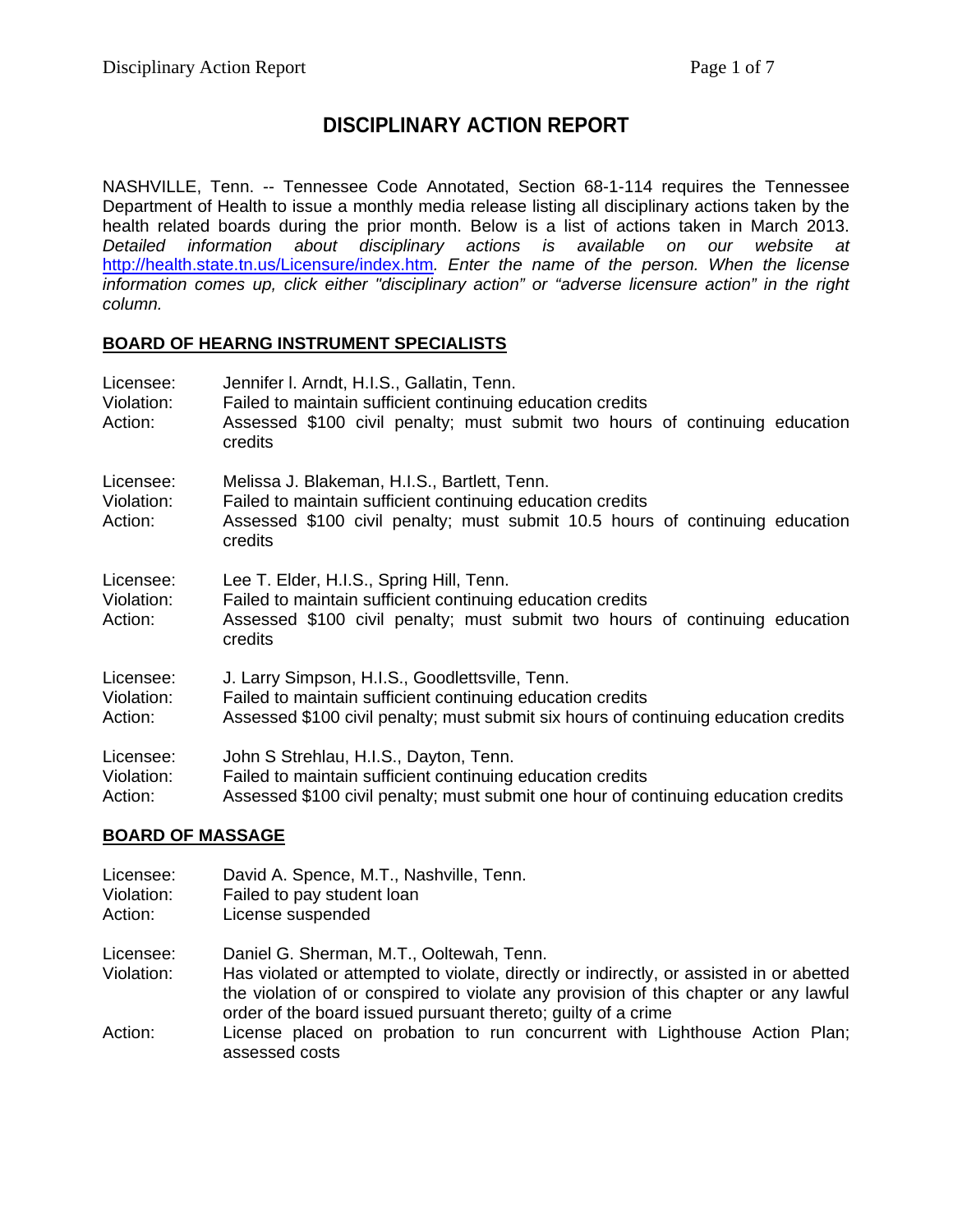## **DISCIPLINARY ACTION REPORT**

NASHVILLE, Tenn. -- Tennessee Code Annotated, Section 68-1-114 requires the Tennessee Department of Health to issue a monthly media release listing all disciplinary actions taken by the health related boards during the prior month. Below is a list of actions taken in March 2013. *Detailed information about disciplinary actions is available on our website at*  <http://health.state.tn.us/Licensure/index.htm>*. Enter the name of the person. When the license information comes up, click either "disciplinary action" or "adverse licensure action" in the right column.*

#### **BOARD OF HEARNG INSTRUMENT SPECIALISTS**

| Licensee:<br>Violation:<br>Action: | Jennifer I. Arndt, H.I.S., Gallatin, Tenn.<br>Failed to maintain sufficient continuing education credits<br>Assessed \$100 civil penalty; must submit two hours of continuing education<br>credits    |
|------------------------------------|-------------------------------------------------------------------------------------------------------------------------------------------------------------------------------------------------------|
| Licensee:<br>Violation:<br>Action: | Melissa J. Blakeman, H.I.S., Bartlett, Tenn.<br>Failed to maintain sufficient continuing education credits<br>Assessed \$100 civil penalty; must submit 10.5 hours of continuing education<br>credits |
| Licensee:<br>Violation:<br>Action: | Lee T. Elder, H.I.S., Spring Hill, Tenn.<br>Failed to maintain sufficient continuing education credits<br>Assessed \$100 civil penalty; must submit two hours of continuing education<br>credits      |
| Licensee:<br>Violation:<br>Action: | J. Larry Simpson, H.I.S., Goodlettsville, Tenn.<br>Failed to maintain sufficient continuing education credits<br>Assessed \$100 civil penalty; must submit six hours of continuing education credits  |
| Licensee:<br>Violation:<br>Action: | John S Strehlau, H.I.S., Dayton, Tenn.<br>Failed to maintain sufficient continuing education credits<br>Assessed \$100 civil penalty; must submit one hour of continuing education credits            |

#### **BOARD OF MASSAGE**

| Licensee:<br>Violation:<br>Action: | David A. Spence, M.T., Nashville, Tenn.<br>Failed to pay student loan<br>License suspended                                                                                                                                                                                                   |
|------------------------------------|----------------------------------------------------------------------------------------------------------------------------------------------------------------------------------------------------------------------------------------------------------------------------------------------|
| Licensee:<br>Violation:            | Daniel G. Sherman, M.T., Ooltewah, Tenn.<br>Has violated or attempted to violate, directly or indirectly, or assisted in or abetted<br>the violation of or conspired to violate any provision of this chapter or any lawful<br>order of the board issued pursuant thereto; guilty of a crime |
| Action:                            | License placed on probation to run concurrent with Lighthouse Action Plan;<br>assessed costs                                                                                                                                                                                                 |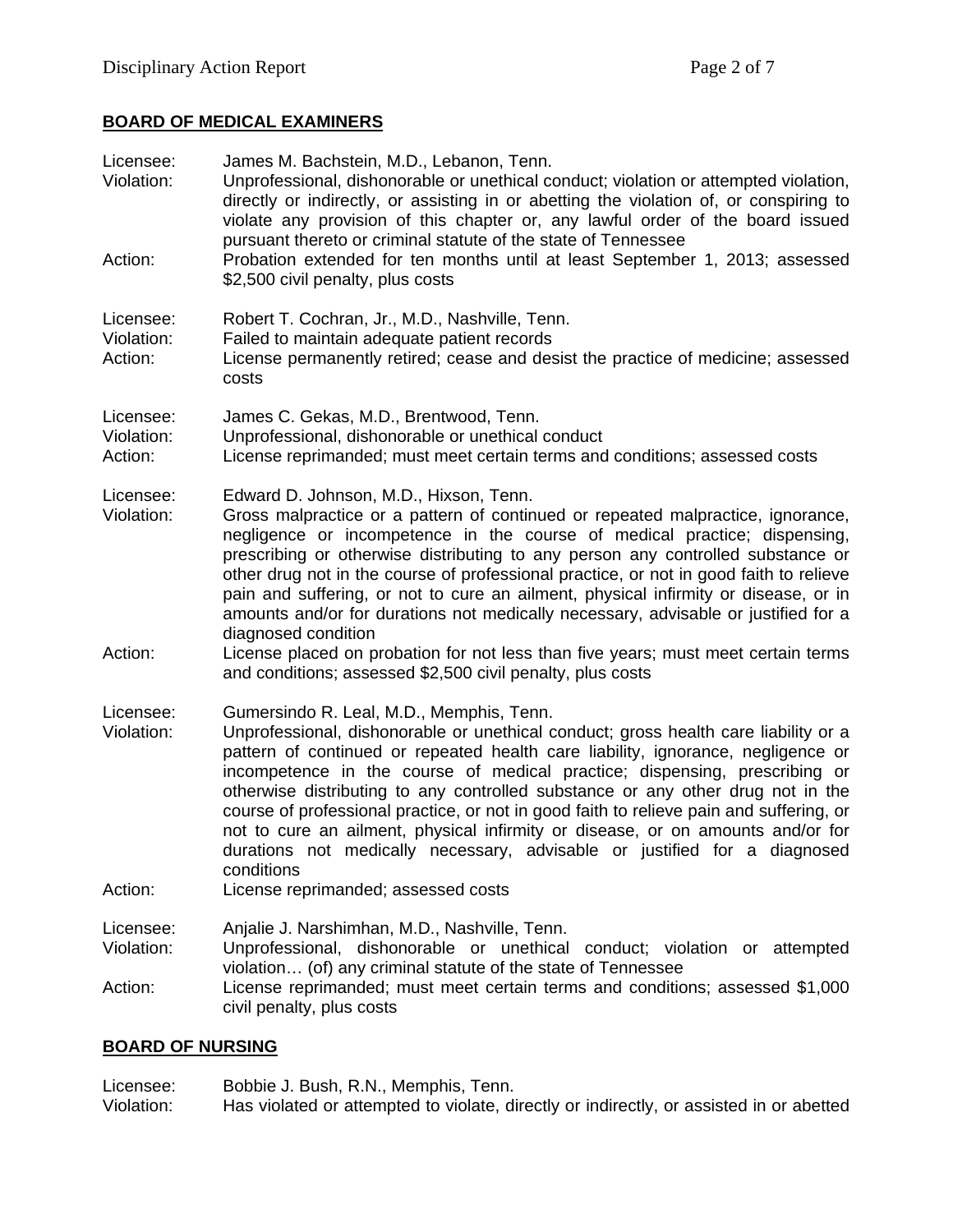#### **BOARD OF MEDICAL EXAMINERS**

| Licensee:<br>Violation:<br>Action: | James M. Bachstein, M.D., Lebanon, Tenn.<br>Unprofessional, dishonorable or unethical conduct; violation or attempted violation,<br>directly or indirectly, or assisting in or abetting the violation of, or conspiring to<br>violate any provision of this chapter or, any lawful order of the board issued<br>pursuant thereto or criminal statute of the state of Tennessee<br>Probation extended for ten months until at least September 1, 2013; assessed<br>\$2,500 civil penalty, plus costs                                                                                                                                                                                                                                        |
|------------------------------------|--------------------------------------------------------------------------------------------------------------------------------------------------------------------------------------------------------------------------------------------------------------------------------------------------------------------------------------------------------------------------------------------------------------------------------------------------------------------------------------------------------------------------------------------------------------------------------------------------------------------------------------------------------------------------------------------------------------------------------------------|
| Licensee:<br>Violation:<br>Action: | Robert T. Cochran, Jr., M.D., Nashville, Tenn.<br>Failed to maintain adequate patient records<br>License permanently retired; cease and desist the practice of medicine; assessed<br>costs                                                                                                                                                                                                                                                                                                                                                                                                                                                                                                                                                 |
| Licensee:<br>Violation:<br>Action: | James C. Gekas, M.D., Brentwood, Tenn.<br>Unprofessional, dishonorable or unethical conduct<br>License reprimanded; must meet certain terms and conditions; assessed costs                                                                                                                                                                                                                                                                                                                                                                                                                                                                                                                                                                 |
| Licensee:<br>Violation:<br>Action: | Edward D. Johnson, M.D., Hixson, Tenn.<br>Gross malpractice or a pattern of continued or repeated malpractice, ignorance,<br>negligence or incompetence in the course of medical practice; dispensing,<br>prescribing or otherwise distributing to any person any controlled substance or<br>other drug not in the course of professional practice, or not in good faith to relieve<br>pain and suffering, or not to cure an ailment, physical infirmity or disease, or in<br>amounts and/or for durations not medically necessary, advisable or justified for a<br>diagnosed condition<br>License placed on probation for not less than five years; must meet certain terms<br>and conditions; assessed \$2,500 civil penalty, plus costs |
| Licensee:<br>Violation:<br>Action: | Gumersindo R. Leal, M.D., Memphis, Tenn.<br>Unprofessional, dishonorable or unethical conduct; gross health care liability or a<br>pattern of continued or repeated health care liability, ignorance, negligence or<br>incompetence in the course of medical practice; dispensing, prescribing or<br>otherwise distributing to any controlled substance or any other drug not in the<br>course of professional practice, or not in good faith to relieve pain and suffering, or<br>not to cure an ailment, physical infirmity or disease, or on amounts and/or for<br>durations not medically necessary, advisable or justified for a diagnosed<br>conditions<br>License reprimanded; assessed costs                                       |
| Licensee:<br>Violation:<br>Action: | Anjalie J. Narshimhan, M.D., Nashville, Tenn.<br>Unprofessional, dishonorable or unethical conduct; violation or attempted<br>violation (of) any criminal statute of the state of Tennessee<br>License reprimanded; must meet certain terms and conditions; assessed \$1,000<br>civil penalty, plus costs                                                                                                                                                                                                                                                                                                                                                                                                                                  |

## **BOARD OF NURSING**

Licensee: Bobbie J. Bush, R.N., Memphis, Tenn.<br>Violation: Has violated or attempted to violate, di Has violated or attempted to violate, directly or indirectly, or assisted in or abetted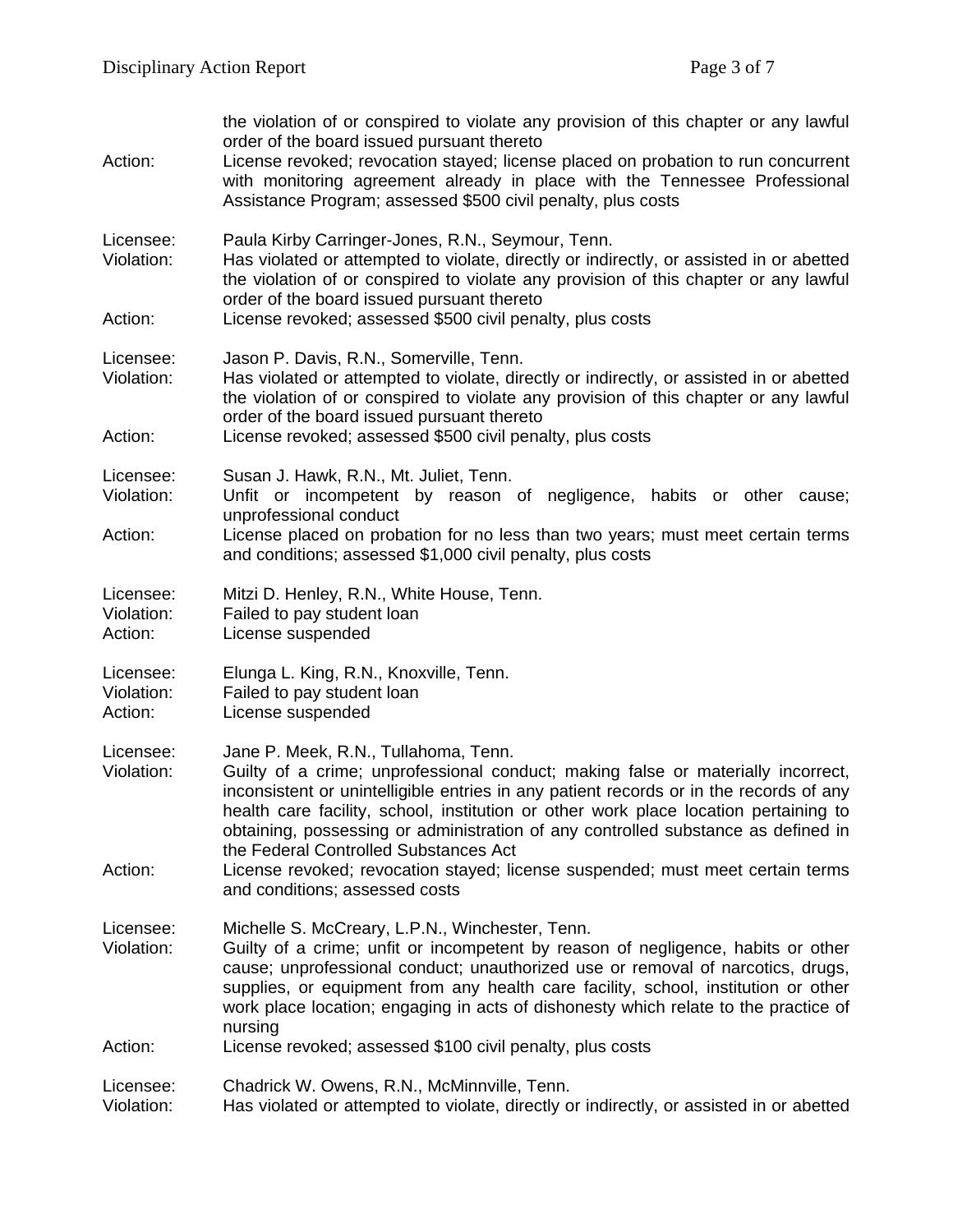| Action:                            | the violation of or conspired to violate any provision of this chapter or any lawful<br>order of the board issued pursuant thereto<br>License revoked; revocation stayed; license placed on probation to run concurrent<br>with monitoring agreement already in place with the Tennessee Professional<br>Assistance Program; assessed \$500 civil penalty, plus costs                                                                                                                                                                                        |  |
|------------------------------------|--------------------------------------------------------------------------------------------------------------------------------------------------------------------------------------------------------------------------------------------------------------------------------------------------------------------------------------------------------------------------------------------------------------------------------------------------------------------------------------------------------------------------------------------------------------|--|
| Licensee:<br>Violation:            | Paula Kirby Carringer-Jones, R.N., Seymour, Tenn.<br>Has violated or attempted to violate, directly or indirectly, or assisted in or abetted<br>the violation of or conspired to violate any provision of this chapter or any lawful<br>order of the board issued pursuant thereto                                                                                                                                                                                                                                                                           |  |
| Action:                            | License revoked; assessed \$500 civil penalty, plus costs                                                                                                                                                                                                                                                                                                                                                                                                                                                                                                    |  |
| Licensee:<br>Violation:            | Jason P. Davis, R.N., Somerville, Tenn.<br>Has violated or attempted to violate, directly or indirectly, or assisted in or abetted<br>the violation of or conspired to violate any provision of this chapter or any lawful<br>order of the board issued pursuant thereto                                                                                                                                                                                                                                                                                     |  |
| Action:                            | License revoked; assessed \$500 civil penalty, plus costs                                                                                                                                                                                                                                                                                                                                                                                                                                                                                                    |  |
| Licensee:<br>Violation:<br>Action: | Susan J. Hawk, R.N., Mt. Juliet, Tenn.<br>Unfit or incompetent by reason of negligence, habits or other cause;<br>unprofessional conduct<br>License placed on probation for no less than two years; must meet certain terms<br>and conditions; assessed \$1,000 civil penalty, plus costs                                                                                                                                                                                                                                                                    |  |
|                                    |                                                                                                                                                                                                                                                                                                                                                                                                                                                                                                                                                              |  |
| Licensee:<br>Violation:<br>Action: | Mitzi D. Henley, R.N., White House, Tenn.<br>Failed to pay student loan<br>License suspended                                                                                                                                                                                                                                                                                                                                                                                                                                                                 |  |
| Licensee:<br>Violation:<br>Action: | Elunga L. King, R.N., Knoxville, Tenn.<br>Failed to pay student loan<br>License suspended                                                                                                                                                                                                                                                                                                                                                                                                                                                                    |  |
| Licensee:<br>Violation:<br>Action: | Jane P. Meek, R.N., Tullahoma, Tenn.<br>Guilty of a crime; unprofessional conduct; making false or materially incorrect,<br>inconsistent or unintelligible entries in any patient records or in the records of any<br>health care facility, school, institution or other work place location pertaining to<br>obtaining, possessing or administration of any controlled substance as defined in<br>the Federal Controlled Substances Act<br>License revoked; revocation stayed; license suspended; must meet certain terms<br>and conditions; assessed costs |  |
| Licensee:<br>Violation:            | Michelle S. McCreary, L.P.N., Winchester, Tenn.<br>Guilty of a crime; unfit or incompetent by reason of negligence, habits or other<br>cause; unprofessional conduct; unauthorized use or removal of narcotics, drugs,<br>supplies, or equipment from any health care facility, school, institution or other<br>work place location; engaging in acts of dishonesty which relate to the practice of<br>nursing                                                                                                                                               |  |
| Action:                            | License revoked; assessed \$100 civil penalty, plus costs                                                                                                                                                                                                                                                                                                                                                                                                                                                                                                    |  |
| Licensee:<br>Violation:            | Chadrick W. Owens, R.N., McMinnville, Tenn.<br>Has violated or attempted to violate, directly or indirectly, or assisted in or abetted                                                                                                                                                                                                                                                                                                                                                                                                                       |  |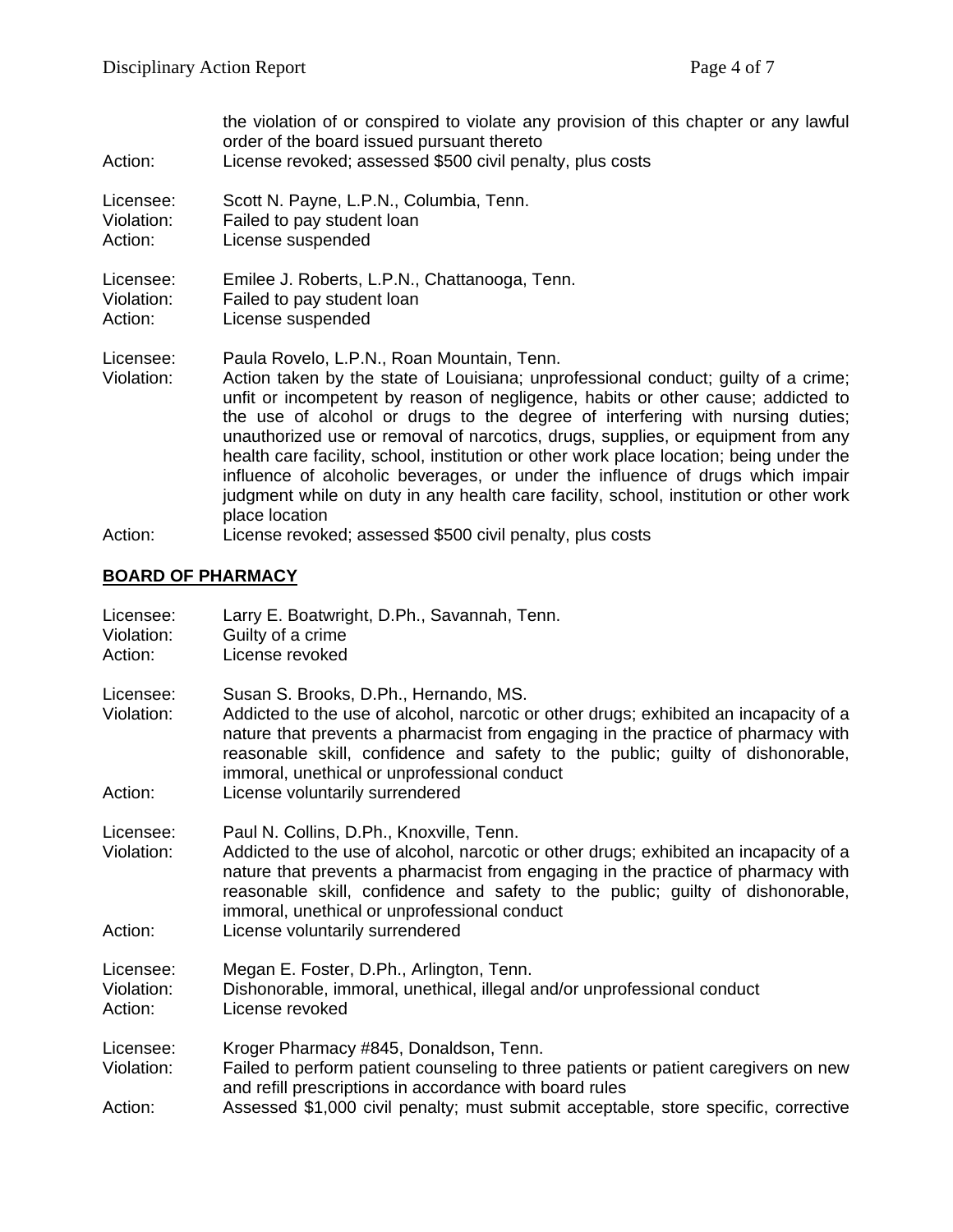| Action:                            | the violation of or conspired to violate any provision of this chapter or any lawful<br>order of the board issued pursuant thereto<br>License revoked; assessed \$500 civil penalty, plus costs                                                                                                                                                                                                                                                                                                                                                                                                                                                                                   |
|------------------------------------|-----------------------------------------------------------------------------------------------------------------------------------------------------------------------------------------------------------------------------------------------------------------------------------------------------------------------------------------------------------------------------------------------------------------------------------------------------------------------------------------------------------------------------------------------------------------------------------------------------------------------------------------------------------------------------------|
| Licensee:<br>Violation:<br>Action: | Scott N. Payne, L.P.N., Columbia, Tenn.<br>Failed to pay student loan<br>License suspended                                                                                                                                                                                                                                                                                                                                                                                                                                                                                                                                                                                        |
| Licensee:<br>Violation:<br>Action: | Emilee J. Roberts, L.P.N., Chattanooga, Tenn.<br>Failed to pay student loan<br>License suspended                                                                                                                                                                                                                                                                                                                                                                                                                                                                                                                                                                                  |
| Licensee:<br>Violation:            | Paula Rovelo, L.P.N., Roan Mountain, Tenn.<br>Action taken by the state of Louisiana; unprofessional conduct; guilty of a crime;<br>unfit or incompetent by reason of negligence, habits or other cause; addicted to<br>the use of alcohol or drugs to the degree of interfering with nursing duties;<br>unauthorized use or removal of narcotics, drugs, supplies, or equipment from any<br>health care facility, school, institution or other work place location; being under the<br>influence of alcoholic beverages, or under the influence of drugs which impair<br>judgment while on duty in any health care facility, school, institution or other work<br>place location |
| Action:                            | License revoked; assessed \$500 civil penalty, plus costs                                                                                                                                                                                                                                                                                                                                                                                                                                                                                                                                                                                                                         |

# **BOARD OF PHARMACY**

| Licensee:<br>Violation:<br>Action: | Larry E. Boatwright, D.Ph., Savannah, Tenn.<br>Guilty of a crime<br>License revoked                                                                                                                                                                                                                                                                                                        |  |
|------------------------------------|--------------------------------------------------------------------------------------------------------------------------------------------------------------------------------------------------------------------------------------------------------------------------------------------------------------------------------------------------------------------------------------------|--|
| Licensee:<br>Violation:<br>Action: | Susan S. Brooks, D.Ph., Hernando, MS.<br>Addicted to the use of alcohol, narcotic or other drugs; exhibited an incapacity of a<br>nature that prevents a pharmacist from engaging in the practice of pharmacy with<br>reasonable skill, confidence and safety to the public; guilty of dishonorable,<br>immoral, unethical or unprofessional conduct<br>License voluntarily surrendered    |  |
| Licensee:<br>Violation:<br>Action: | Paul N. Collins, D.Ph., Knoxville, Tenn.<br>Addicted to the use of alcohol, narcotic or other drugs; exhibited an incapacity of a<br>nature that prevents a pharmacist from engaging in the practice of pharmacy with<br>reasonable skill, confidence and safety to the public; guilty of dishonorable,<br>immoral, unethical or unprofessional conduct<br>License voluntarily surrendered |  |
| Licensee:<br>Violation:<br>Action: | Megan E. Foster, D.Ph., Arlington, Tenn.<br>Dishonorable, immoral, unethical, illegal and/or unprofessional conduct<br>License revoked                                                                                                                                                                                                                                                     |  |
| Licensee:<br>Violation:<br>Action: | Kroger Pharmacy #845, Donaldson, Tenn.<br>Failed to perform patient counseling to three patients or patient caregivers on new<br>and refill prescriptions in accordance with board rules<br>Assessed \$1,000 civil penalty; must submit acceptable, store specific, corrective                                                                                                             |  |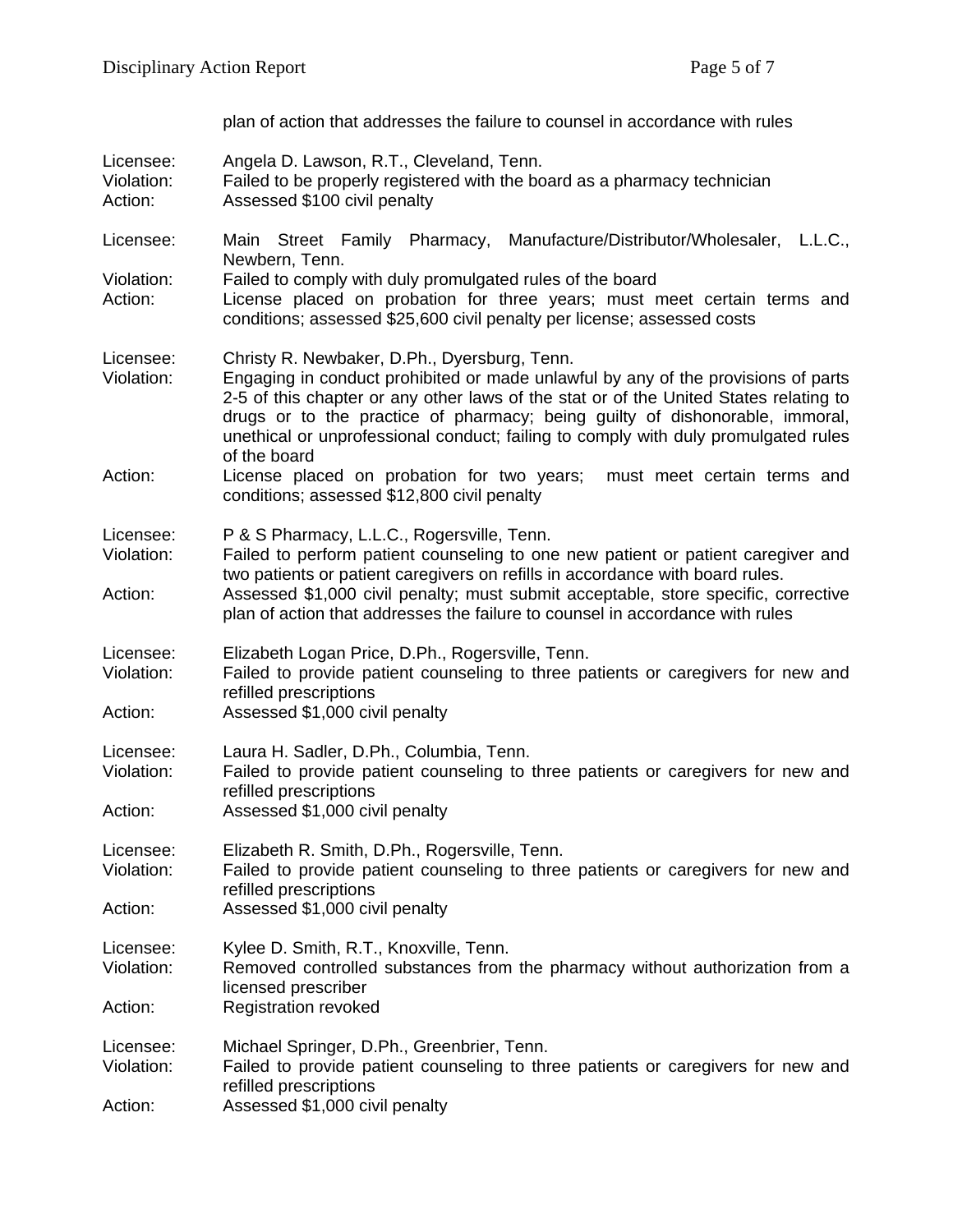|                                    | plan of action that addresses the failure to counsel in accordance with rules                                                                                                                                                                                                                                                                                                                                    |
|------------------------------------|------------------------------------------------------------------------------------------------------------------------------------------------------------------------------------------------------------------------------------------------------------------------------------------------------------------------------------------------------------------------------------------------------------------|
| Licensee:<br>Violation:<br>Action: | Angela D. Lawson, R.T., Cleveland, Tenn.<br>Failed to be properly registered with the board as a pharmacy technician<br>Assessed \$100 civil penalty                                                                                                                                                                                                                                                             |
| Licensee:                          | Main Street Family Pharmacy, Manufacture/Distributor/Wholesaler,<br>L.L.C.,                                                                                                                                                                                                                                                                                                                                      |
| Violation:<br>Action:              | Newbern, Tenn.<br>Failed to comply with duly promulgated rules of the board<br>License placed on probation for three years; must meet certain terms and<br>conditions; assessed \$25,600 civil penalty per license; assessed costs                                                                                                                                                                               |
| Licensee:<br>Violation:            | Christy R. Newbaker, D.Ph., Dyersburg, Tenn.<br>Engaging in conduct prohibited or made unlawful by any of the provisions of parts<br>2-5 of this chapter or any other laws of the stat or of the United States relating to<br>drugs or to the practice of pharmacy; being guilty of dishonorable, immoral,<br>unethical or unprofessional conduct; failing to comply with duly promulgated rules<br>of the board |
| Action:                            | License placed on probation for two years;<br>must meet certain terms and<br>conditions; assessed \$12,800 civil penalty                                                                                                                                                                                                                                                                                         |
| Licensee:<br>Violation:            | P & S Pharmacy, L.L.C., Rogersville, Tenn.<br>Failed to perform patient counseling to one new patient or patient caregiver and<br>two patients or patient caregivers on refills in accordance with board rules.                                                                                                                                                                                                  |
| Action:                            | Assessed \$1,000 civil penalty; must submit acceptable, store specific, corrective<br>plan of action that addresses the failure to counsel in accordance with rules                                                                                                                                                                                                                                              |
| Licensee:<br>Violation:            | Elizabeth Logan Price, D.Ph., Rogersville, Tenn.<br>Failed to provide patient counseling to three patients or caregivers for new and<br>refilled prescriptions                                                                                                                                                                                                                                                   |
| Action:                            | Assessed \$1,000 civil penalty                                                                                                                                                                                                                                                                                                                                                                                   |
| Licensee:<br>Violation:            | Laura H. Sadler, D.Ph., Columbia, Tenn.<br>Failed to provide patient counseling to three patients or caregivers for new and<br>refilled prescriptions                                                                                                                                                                                                                                                            |
| Action:                            | Assessed \$1,000 civil penalty                                                                                                                                                                                                                                                                                                                                                                                   |
| Licensee:<br>Violation:            | Elizabeth R. Smith, D.Ph., Rogersville, Tenn.<br>Failed to provide patient counseling to three patients or caregivers for new and<br>refilled prescriptions                                                                                                                                                                                                                                                      |
| Action:                            | Assessed \$1,000 civil penalty                                                                                                                                                                                                                                                                                                                                                                                   |
| Licensee:<br>Violation:            | Kylee D. Smith, R.T., Knoxville, Tenn.<br>Removed controlled substances from the pharmacy without authorization from a<br>licensed prescriber                                                                                                                                                                                                                                                                    |
| Action:                            | <b>Registration revoked</b>                                                                                                                                                                                                                                                                                                                                                                                      |
| Licensee:<br>Violation:            | Michael Springer, D.Ph., Greenbrier, Tenn.<br>Failed to provide patient counseling to three patients or caregivers for new and                                                                                                                                                                                                                                                                                   |

refilled prescriptions

Action: Assessed \$1,000 civil penalty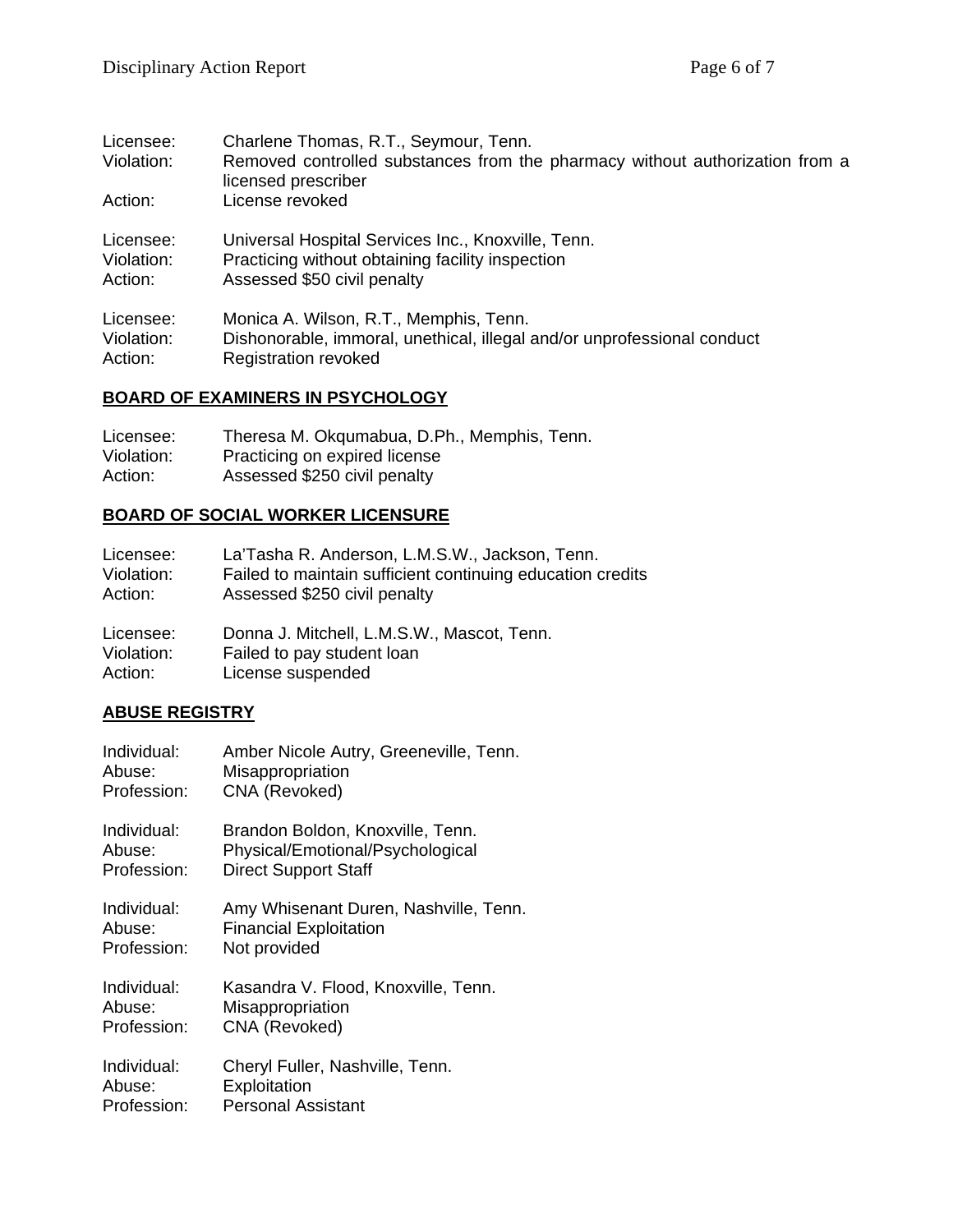| Licensee:<br>Violation: | Charlene Thomas, R.T., Seymour, Tenn.<br>Removed controlled substances from the pharmacy without authorization from a<br>licensed prescriber |
|-------------------------|----------------------------------------------------------------------------------------------------------------------------------------------|
| Action:                 | License revoked                                                                                                                              |
| Licensee:               | Universal Hospital Services Inc., Knoxville, Tenn.                                                                                           |
| Violation:              | Practicing without obtaining facility inspection                                                                                             |
| Action:                 | Assessed \$50 civil penalty                                                                                                                  |
| Licensee:               | Monica A. Wilson, R.T., Memphis, Tenn.                                                                                                       |
| Violation:              | Dishonorable, immoral, unethical, illegal and/or unprofessional conduct                                                                      |
| Action:                 | <b>Registration revoked</b>                                                                                                                  |

# **BOARD OF EXAMINERS IN PSYCHOLOGY**

| Licensee:  | Theresa M. Okqumabua, D.Ph., Memphis, Tenn. |
|------------|---------------------------------------------|
| Violation: | Practicing on expired license               |
| Action:    | Assessed \$250 civil penalty                |

## **BOARD OF SOCIAL WORKER LICENSURE**

| Licensee:  | La'Tasha R. Anderson, L.M.S.W., Jackson, Tenn.             |
|------------|------------------------------------------------------------|
| Violation: | Failed to maintain sufficient continuing education credits |
| Action:    | Assessed \$250 civil penalty                               |
| Licensee:  | Donna J. Mitchell, L.M.S.W., Mascot, Tenn.                 |
| Violation: | Failed to pay student loan                                 |
| Action:    | License suspended                                          |

## **ABUSE REGISTRY**

| Individual: | Amber Nicole Autry, Greeneville, Tenn. |
|-------------|----------------------------------------|
| Abuse:      | Misappropriation                       |
| Profession: | CNA (Revoked)                          |
| Individual: | Brandon Boldon, Knoxville, Tenn.       |
| Abuse:      | Physical/Emotional/Psychological       |
| Profession: | <b>Direct Support Staff</b>            |
| Individual: | Amy Whisenant Duren, Nashville, Tenn.  |
| Abuse:      | <b>Financial Exploitation</b>          |
| Profession: | Not provided                           |
| Individual: | Kasandra V. Flood, Knoxville, Tenn.    |
| Abuse:      | Misappropriation                       |
| Profession: | CNA (Revoked)                          |
| Individual: | Cheryl Fuller, Nashville, Tenn.        |
| Abuse:      | Exploitation                           |
| Profession: | <b>Personal Assistant</b>              |